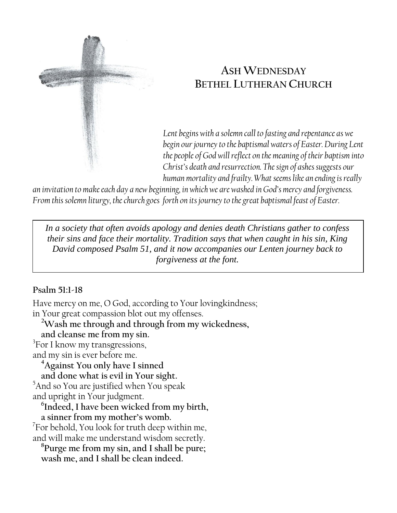

# **ASH WEDNESDAY BETHEL LUTHERAN CHURCH**

*Lent begins with a solemn call to fasting and repentance as we begin our journey to the baptismal waters of Easter. During Lent the people of God will reflect on the meaning of their baptism into Christ's death and resurrection. The sign of ashes suggests our human mortality and frailty. What seems like an ending is really* 

*an invitation to make each day a new beginning, in which we are washed in God's mercy and forgiveness. From this solemn liturgy, the church goes forth on its journey to the great baptismal feast of Easter.*

*In a society that often avoids apology and denies death Christians gather to confess their sins and face their mortality. Tradition says that when caught in his sin, King David composed Psalm 51, and it now accompanies our Lenten journey back to forgiveness at the font.*

## **Psalm 51:1-18**

Have mercy on me, O God, according to Your lovingkindness; in Your great compassion blot out my offenses.

**<sup>2</sup>Wash me through and through from my wickedness, and cleanse me from my sin.**

<sup>3</sup>For I know my transgressions, and my sin is ever before me.

**<sup>4</sup>Against You only have I sinned**

**and done what is evil in Your sight.** 

<sup>5</sup>And so You are justified when You speak and upright in Your judgment.

**6 Indeed, I have been wicked from my birth, a sinner from my mother's womb.**

 $7$ For behold, You look for truth deep within me, and will make me understand wisdom secretly.

**8 Purge me from my sin, and I shall be pure; wash me, and I shall be clean indeed.**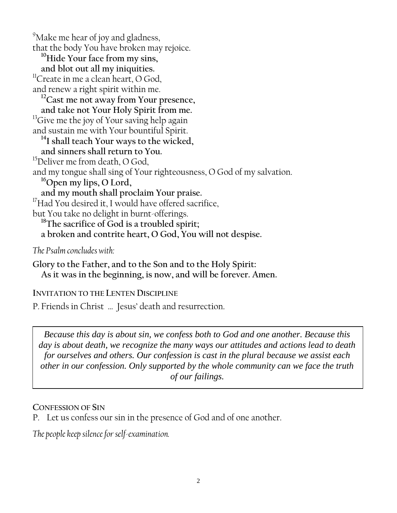<sup>9</sup>Make me hear of joy and gladness, that the body You have broken may rejoice. **<sup>10</sup>Hide Your face from my sins, and blot out all my iniquities.** <sup>11</sup>Create in me a clean heart, O God, and renew a right spirit within me. **<sup>12</sup>Cast me not away from Your presence, and take not Your Holy Spirit from me.**  <sup>13</sup>Give me the joy of Your saving help again and sustain me with Your bountiful Spirit. **<sup>14</sup>I shall teach Your ways to the wicked, and sinners shall return to You.** <sup>15</sup>Deliver me from death, O God, and my tongue shall sing of Your righteousness, O God of my salvation. **<sup>16</sup>Open my lips, O Lord, and my mouth shall proclaim Your praise.** <sup>17</sup>Had You desired it, I would have offered sacrifice, but You take no delight in burnt-offerings. **<sup>18</sup>The sacrifice of God is a troubled spirit; a broken and contrite heart, O God, You will not despise.** *The Psalm concludes with:*

**Glory to the Father, and to the Son and to the Holy Spirit: As it was in the beginning, is now, and will be forever. Amen.**

## **INVITATION TO THE LENTEN DISCIPLINE**

P. Friends in Christ … Jesus' death and resurrection.

*Because this day is about sin, we confess both to God and one another. Because this day is about death, we recognize the many ways our attitudes and actions lead to death for ourselves and others. Our confession is cast in the plural because we assist each other in our confession. Only supported by the whole community can we face the truth of our failings.*

#### **CONFESSION OF SIN**

P. Let us confess our sin in the presence of God and of one another.

*The people keep silence for self-examination.*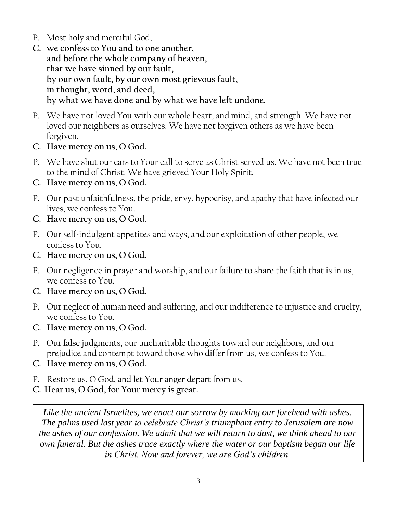- P. Most holy and merciful God,
- **C. we confess to You and to one another, and before the whole company of heaven, that we have sinned by our fault, by our own fault, by our own most grievous fault, in thought, word, and deed, by what we have done and by what we have left undone.**
- P. We have not loved You with our whole heart, and mind, and strength. We have not loved our neighbors as ourselves. We have not forgiven others as we have been forgiven.
- **C. Have mercy on us, O God.**
- P. We have shut our ears to Your call to serve as Christ served us. We have not been true to the mind of Christ. We have grieved Your Holy Spirit.
- **C. Have mercy on us, O God.**
- P. Our past unfaithfulness, the pride, envy, hypocrisy, and apathy that have infected our lives, we confess to You.
- **C. Have mercy on us, O God.**
- P. Our self-indulgent appetites and ways, and our exploitation of other people, we confess to You.
- **C. Have mercy on us, O God.**
- P. Our negligence in prayer and worship, and our failure to share the faith that is in us, we confess to You.
- **C. Have mercy on us, O God.**
- P. Our neglect of human need and suffering, and our indifference to injustice and cruelty, we confess to You.
- **C. Have mercy on us, O God.**
- P. Our false judgments, our uncharitable thoughts toward our neighbors, and our prejudice and contempt toward those who differ from us, we confess to You.
- **C. Have mercy on us, O God.**
- P. Restore us, O God, and let Your anger depart from us.
- **C. Hear us, O God, for Your mercy is great.**

*Like the ancient Israelites, we enact our sorrow by marking our forehead with ashes. The palms used last year to celebrate Christ's triumphant entry to Jerusalem are now the ashes of our confession. We admit that we will return to dust, we think ahead to our own funeral. But the ashes trace exactly where the water or our baptism began our life in Christ. Now and forever, we are God's children.*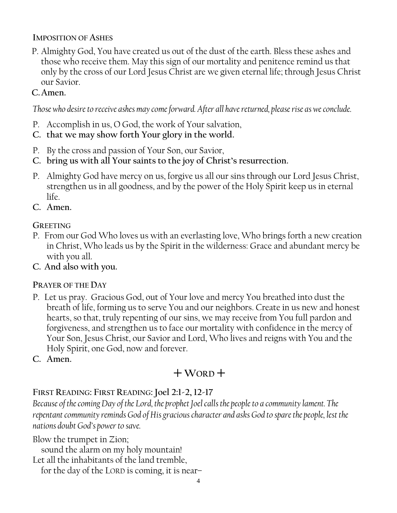#### **IMPOSITION OF ASHES**

P. Almighty God, You have created us out of the dust of the earth. Bless these ashes and those who receive them. May this sign of our mortality and penitence remind us that only by the cross of our Lord Jesus Christ are we given eternal life; through Jesus Christ our Savior.

## **C.Amen.**

*Those who desire to receive ashes may come forward. After all have returned, please rise as we conclude.*

- P. Accomplish in us, O God, the work of Your salvation,
- **C. that we may show forth Your glory in the world.**
- P. By the cross and passion of Your Son, our Savior,
- **C. bring us with all Your saints to the joy of Christ's resurrection.**
- P. Almighty God have mercy on us, forgive us all our sins through our Lord Jesus Christ, strengthen us in all goodness, and by the power of the Holy Spirit keep us in eternal life.
- **C. Amen.**

## **GREETING**

- P. From our God Who loves us with an everlasting love, Who brings forth a new creation in Christ, Who leads us by the Spirit in the wilderness: Grace and abundant mercy be with you all.
- **C. And also with you.**

## **PRAYER OF THE DAY**

- P. Let us pray. Gracious God, out of Your love and mercy You breathed into dust the breath of life, forming us to serve You and our neighbors. Create in us new and honest hearts, so that, truly repenting of our sins, we may receive from You full pardon and forgiveness, and strengthen us to face our mortality with confidence in the mercy of Your Son, Jesus Christ, our Savior and Lord, Who lives and reigns with You and the Holy Spirit, one God, now and forever.
- **C. Amen.**

# $+$ WORD<sup> $+$ </sup>

## **FIRST READING: FIRST READING: Joel 2:1-2, 12-17**

*Because of the coming Day of the Lord, the prophet Joel calls the people to a community lament. The repentant community reminds God of His gracious character and asks God to spare the people, lest the nations doubt God's power to save.* 

Blow the trumpet in Zion;

sound the alarm on my holy mountain!

Let all the inhabitants of the land tremble,

for the day of the LORD is coming, it is near–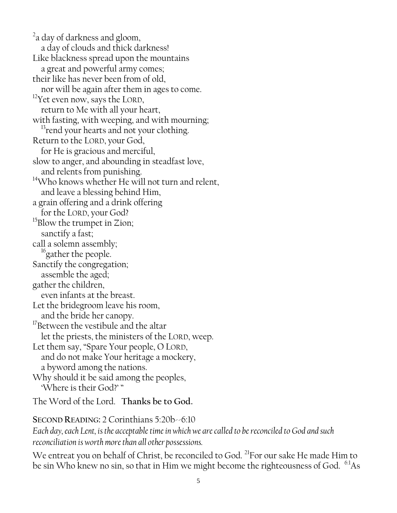$2a$  day of darkness and gloom, a day of clouds and thick darkness! Like blackness spread upon the mountains a great and powerful army comes; their like has never been from of old, nor will be again after them in ages to come. <sup>12</sup>Yet even now, says the LORD, return to Me with all your heart, with fasting, with weeping, and with mourning; <sup>15</sup>rend your hearts and not your clothing. Return to the LORD, your God, for He is gracious and merciful, slow to anger, and abounding in steadfast love, and relents from punishing.  $14$ Who knows whether He will not turn and relent, and leave a blessing behind Him, a grain offering and a drink offering for the LORD, your God?  $^{15}$ Blow the trumpet in Zion; sanctify a fast; call a solemn assembly; <sup>16</sup>gather the people. Sanctify the congregation; assemble the aged; gather the children, even infants at the breast. Let the bridegroom leave his room, and the bride her canopy.  $17$ Between the vestibule and the altar let the priests, the ministers of the LORD, weep. Let them say, "Spare Your people, O LORD, and do not make Your heritage a mockery, a byword among the nations. Why should it be said among the peoples, 'Where is their God?' "

The Word of the Lord. **Thanks be to God.**

**SECOND READING:** 2 Corinthians 5:20b--6:10 *Each day, each Lent, is the acceptable time in which we are called to be reconciled to God and such reconciliation is worth more than all other possessions.*

We entreat you on behalf of Christ, be reconciled to God.<sup>21</sup>For our sake He made Him to be sin Who knew no sin, so that in Him we might become the righteousness of God.  $^{6:1}\text{As}$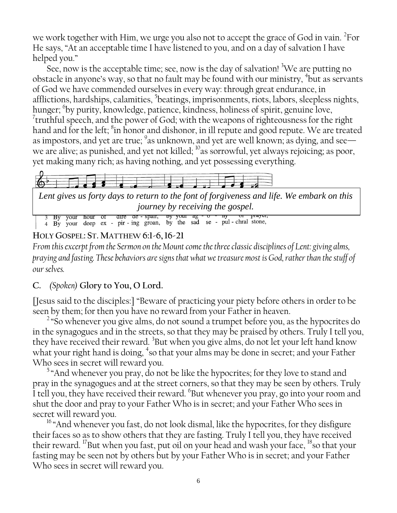we work together with Him, we urge you also not to accept the grace of God in vain.  $^{2}$ For He says, "At an acceptable time I have listened to you, and on a day of salvation I have helped you."

See, now is the acceptable time; see, now is the day of salvation!  ${}^{3}$ We are putting no obstacle in anyone's way, so that no fault may be found with our ministry,  $\frac{1}{1}$  but as servants of God we have commended ourselves in every way: through great endurance, in afflictions, hardships, calamities, <sup>5</sup>beatings, imprisonments, riots, labors, sleepless nights, hunger; <sup>6</sup>by purity, knowledge, patience, kindness, holiness of spirit, genuine love,  $7$ truthful speech, and the power of God; with the weapons of righteousness for the right hand and for the left; <sup>8</sup>in honor and dishonor, in ill repute and good repute. We are treated as impostors, and yet are true;  $\mathrm{^9}$ as unknown, and yet are well known; as dying, and see we are alive; as punished, and yet not killed;  $^{10}$  as sorrowful, yet always rejoicing; as poor, yet making many rich; as having nothing, and yet possessing everything.



*Lent gives us forty days to return to the font of forgiveness and life. We embark on this* 

*journey by receiving the gospel.*<br>3 By your nour or aire ae - spair, by your ag - o - in or prayer, 4 By your deep ex - pir - ing groan, by the sad se - pul - chral stone,

## **HOLY GOSPEL: ST. MATTHEW 6:1-6,16-21**

*From this excerpt from the Sermon on the Mount come the three classic disciplines of Lent: giving alms, praying and fasting. These behaviors are signs that what we treasure most is God, rather than the stuff of our selves.*

## **C.** *(Spoken)* **Glory to You, O Lord.**

[Jesus said to the disciples:] "Beware of practicing your piety before others in order to be seen by them; for then you have no reward from your Father in heaven.

<sup>2</sup> "So whenever you give alms, do not sound a trumpet before you, as the hypocrites do in the synagogues and in the streets, so that they may be praised by others. Truly I tell you, they have received their reward. <sup>3</sup>But when you give alms, do not let your left hand know what your right hand is doing, <sup>4</sup>so that your alms may be done in secret; and your Father Who sees in secret will reward you.

<sup>5</sup> "And whenever you pray, do not be like the hypocrites; for they love to stand and pray in the synagogues and at the street corners, so that they may be seen by others. Truly I tell you, they have received their reward. <sup>6</sup>But whenever you pray, go into your room and shut the door and pray to your Father Who is in secret; and your Father Who sees in secret will reward you.

<sup>16</sup> "And whenever you fast, do not look dismal, like the hypocrites, for they disfigure their faces so as to show others that they are fasting. Truly I tell you, they have received their reward. <sup>17</sup>But when you fast, put oil on your head and wash your face,  $18$ so that your fasting may be seen not by others but by your Father Who is in secret; and your Father Who sees in secret will reward you.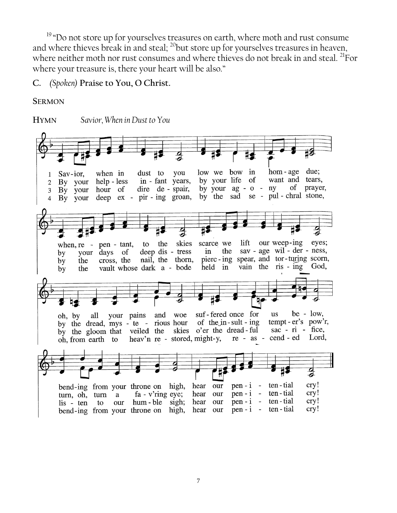<sup>19</sup> "Do not store up for yourselves treasures on earth, where moth and rust consume and where thieves break in and steal;  $^{20}$  but store up for yourselves treasures in heaven, where neither moth nor rust consumes and where thieves do not break in and steal. <sup>21</sup>For where your treasure is, there your heart will be also."

#### **C.** *(Spoken)* **Praise to You, O Christ.**

**SERMON**

**HYMN** *Savior, When in Dust to You*low we bow in hom-age due; dust to you when in Sav-ior,  $\mathbf{1}$ by your life of want and tears, in - fant years, By your help - less  $\mathbf{2}$ by your ag - o - ny of prayer, dire de - spair, 3 By your hour of by the sad se - pul - chral stone,  $deep$   $ex$  -  $pir$  -  $ing$   $groan$ , 4 By your scarce we lift our weep-ing to the skies eyes; when,  $re - pen - tant$ , the sav - age wil - der - ness, your days of deep dis - tress in by pierc-ing spear, and tor-turing scorn, nail, the thorn, cross, the the by held in vain the ris - ing God, vault whose dark a - bode by the all your pains and woe suf-fered once for be -  $low$ , us oh, by by the dread, mys - te - rious hour of the in-sult-ing tempt - er's pow'r,  $sac - ri - fice$ , by the gloom that veiled the skies o'er the dread-ful re - as - cend - ed Lord, heav'n re - stored, might-y, oh, from earth to hear our ten - tial cry! bend-ing from your throne on high,  $pen - i$  - $\cr{\cr{\rm cry}\urcorner}$ fa - v'ring eye; hear our  $pen - i$  ten - tial turn, oh, turn a cry! our hum-ble sigh; hear our  $pen - i$  ten - tial lis - ten to  $pen - i$  ten - tial cry! bend-ing from your throne on high, hear our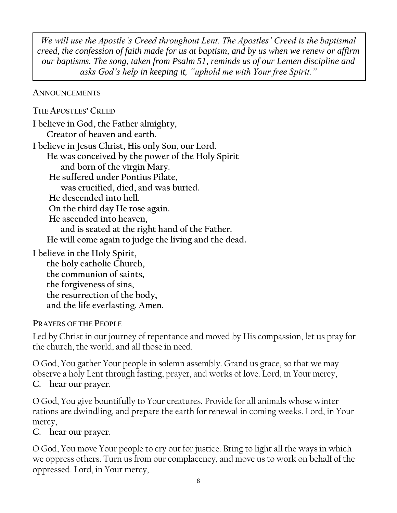*We will use the Apostle's Creed throughout Lent. The Apostles' Creed is the baptismal creed, the confession of faith made for us at baptism, and by us when we renew or affirm our baptisms. The song, taken from Psalm 51, reminds us of our Lenten discipline and asks God's help in keeping it, "uphold me with Your free Spirit."*

#### **ANNOUNCEMENTS**

**THE APOSTLES' CREED I believe in God, the Father almighty, Creator of heaven and earth. I believe in Jesus Christ, His only Son, our Lord. He was conceived by the power of the Holy Spirit and born of the virgin Mary. He suffered under Pontius Pilate, was crucified, died, and was buried. He descended into hell. On the third day He rose again. He ascended into heaven, and is seated at the right hand of the Father. He will come again to judge the living and the dead. I believe in the Holy Spirit, the holy catholic Church,** 

**the communion of saints, the forgiveness of sins, the resurrection of the body, and the life everlasting. Amen.**

## **PRAYERS OF THE PEOPLE**

Led by Christ in our journey of repentance and moved by His compassion, let us pray for the church, the world, and all those in need.

O God, You gather Your people in solemn assembly. Grand us grace, so that we may observe a holy Lent through fasting, prayer, and works of love. Lord, in Your mercy, **C. hear our prayer.**

O God, You give bountifully to Your creatures, Provide for all animals whose winter rations are dwindling, and prepare the earth for renewal in coming weeks. Lord, in Your mercy,

## **C. hear our prayer.**

O God, You move Your people to cry out for justice. Bring to light all the ways in which we oppress others. Turn us from our complacency, and move us to work on behalf of the oppressed. Lord, in Your mercy,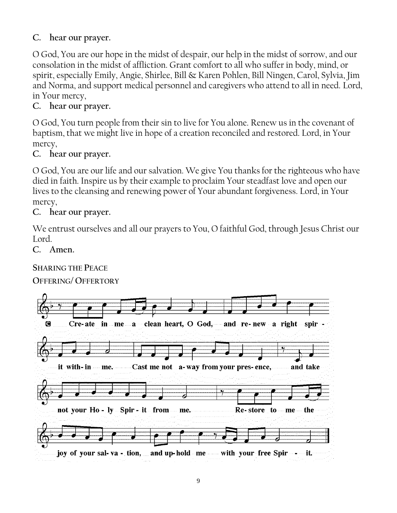## **C. hear our prayer.**

O God, You are our hope in the midst of despair, our help in the midst of sorrow, and our consolation in the midst of affliction. Grant comfort to all who suffer in body, mind, or spirit, especially Emily, Angie, Shirlee, Bill & Karen Pohlen, Bill Ningen, Carol, Sylvia, Jim and Norma, and support medical personnel and caregivers who attend to all in need. Lord, in Your mercy,

## **C. hear our prayer.**

O God, You turn people from their sin to live for You alone. Renew us in the covenant of baptism, that we might live in hope of a creation reconciled and restored. Lord, in Your mercy,

## **C. hear our prayer.**

O God, You are our life and our salvation. We give You thanks for the righteous who have died in faith. Inspire us by their example to proclaim Your steadfast love and open our lives to the cleansing and renewing power of Your abundant forgiveness. Lord, in Your mercy,

## **C. hear our prayer.**

We entrust ourselves and all our prayers to You, O faithful God, through Jesus Christ our Lord.

#### **C. Amen.**

**SHARING THE PEACE**

#### **OFFERING/ OFFERTORY**

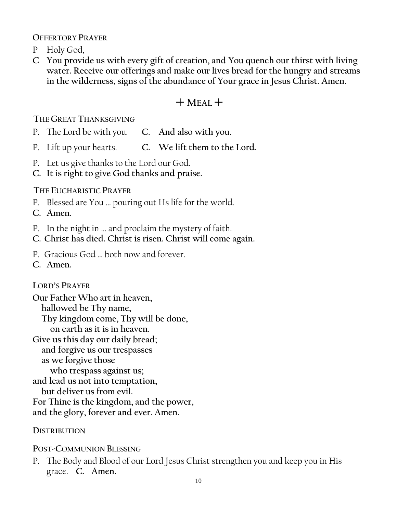**OFFERTORY PRAYER** 

- P Holy God,
- **C You provide us with every gift of creation, and You quench our thirst with living water. Receive our offerings and make our lives bread for the hungry and streams in the wilderness, signs of the abundance of Your grace in Jesus Christ. Amen.**

## $+$  M<sub>EAL</sub> $+$

**THE GREAT THANKSGIVING** 

- P. The Lord be with you. **C. And also with you.**
- P. Lift up your hearts. **C. We lift them to the Lord.**
- P. Let us give thanks to the Lord our God.
- **C. It is right to give God thanks and praise.**

## **THE EUCHARISTIC PRAYER**

- P. Blessed are You … pouring out Hs life for the world.
- **C. Amen.**
- P. In the night in … and proclaim the mystery of faith.
- **C. Christ has died. Christ is risen. Christ will come again.**
- P. Gracious God … both now and forever.
- **C. Amen.**

## **LORD'S PRAYER**

**Our Father Who art in heaven, hallowed be Thy name, Thy kingdom come, Thy will be done, on earth as it is in heaven. Give us this day our daily bread; and forgive us our trespasses as we forgive those who trespass against us; and lead us not into temptation, but deliver us from evil.**

**For Thine is the kingdom, and the power,** 

**and the glory, forever and ever. Amen.**

## **DISTRIBUTION**

**POST-COMMUNION BLESSING**

P. The Body and Blood of our Lord Jesus Christ strengthen you and keep you in His grace. **C. Amen.**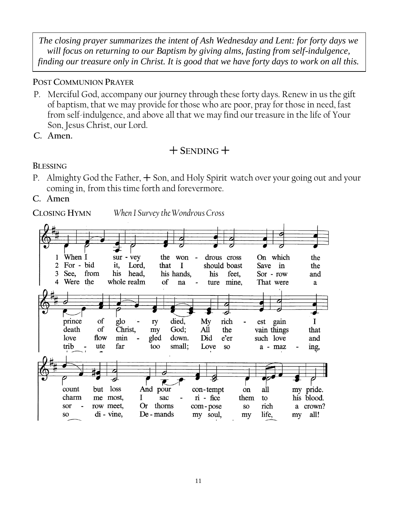*The closing prayer summarizes the intent of Ash Wednesday and Lent: for forty days we will focus on returning to our Baptism by giving alms, fasting from self-indulgence, finding our treasure only in Christ. It is good that we have forty days to work on all this.*

## **POST COMMUNION PRAYER**

- P. Merciful God, accompany our journey through these forty days. Renew in us the gift of baptism, that we may provide for those who are poor, pray for those in need, fast from self-indulgence, and above all that we may find our treasure in the life of Your Son, Jesus Christ, our Lord.
- **C. Amen.**

## $+$  SENDING  $+$

## **BLESSING**

- P. Almighty God the Father,  $+$  Son, and Holy Spirit watch over your going out and your coming in, from this time forth and forevermore.
- **C. Amen**

**CLOSING HYMN** *When I Survey the Wondrous Cross*